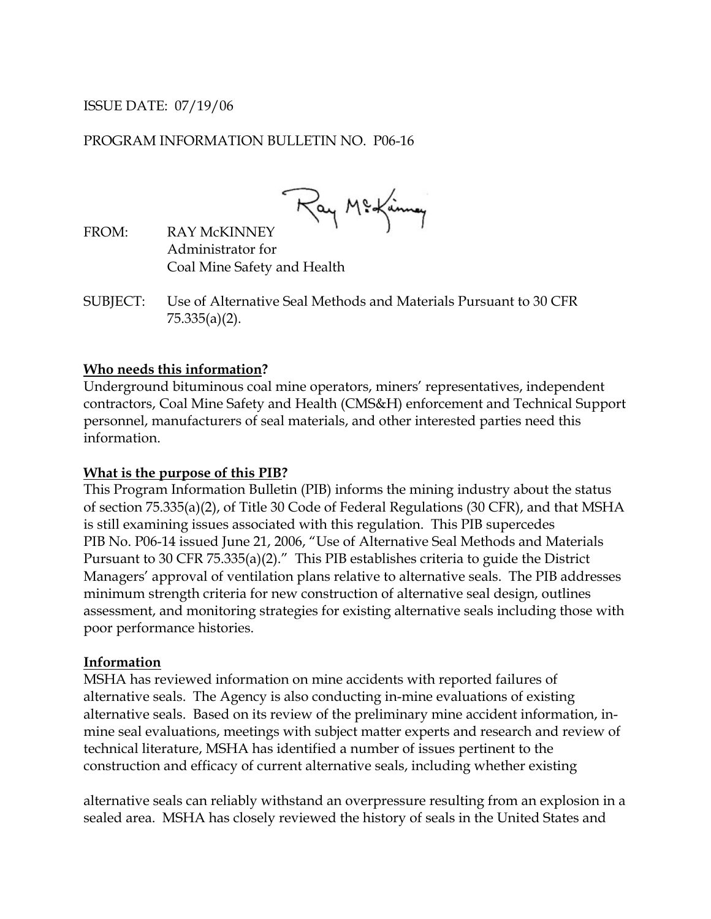# ISSUE DATE: 07/19/06

### PROGRAM INFORMATION BULLETIN NO. P06-16

Ray Mickinny

FROM: RAY McKINNEY Administrator for Coal Mine Safety and Health

SUBJECT: Use of Alternative Seal Methods and Materials Pursuant to 30 CFR 75.335(a)(2).

#### **Who needs this information?**

Underground bituminous coal mine operators, miners' representatives, independent contractors, Coal Mine Safety and Health (CMS&H) enforcement and Technical Support personnel, manufacturers of seal materials, and other interested parties need this information.

#### **What is the purpose of this PIB?**

This Program Information Bulletin (PIB) informs the mining industry about the status of section 75.335(a)(2), of Title 30 Code of Federal Regulations (30 CFR), and that MSHA is still examining issues associated with this regulation. This PIB supercedes PIB No. P06-14 issued June 21, 2006, "Use of Alternative Seal Methods and Materials Pursuant to 30 CFR 75.335(a)(2)." This PIB establishes criteria to guide the District Managers' approval of ventilation plans relative to alternative seals. The PIB addresses minimum strength criteria for new construction of alternative seal design, outlines assessment, and monitoring strategies for existing alternative seals including those with poor performance histories.

#### **Information**

MSHA has reviewed information on mine accidents with reported failures of alternative seals. The Agency is also conducting in-mine evaluations of existing alternative seals. Based on its review of the preliminary mine accident information, inmine seal evaluations, meetings with subject matter experts and research and review of technical literature, MSHA has identified a number of issues pertinent to the construction and efficacy of current alternative seals, including whether existing

alternative seals can reliably withstand an overpressure resulting from an explosion in a sealed area. MSHA has closely reviewed the history of seals in the United States and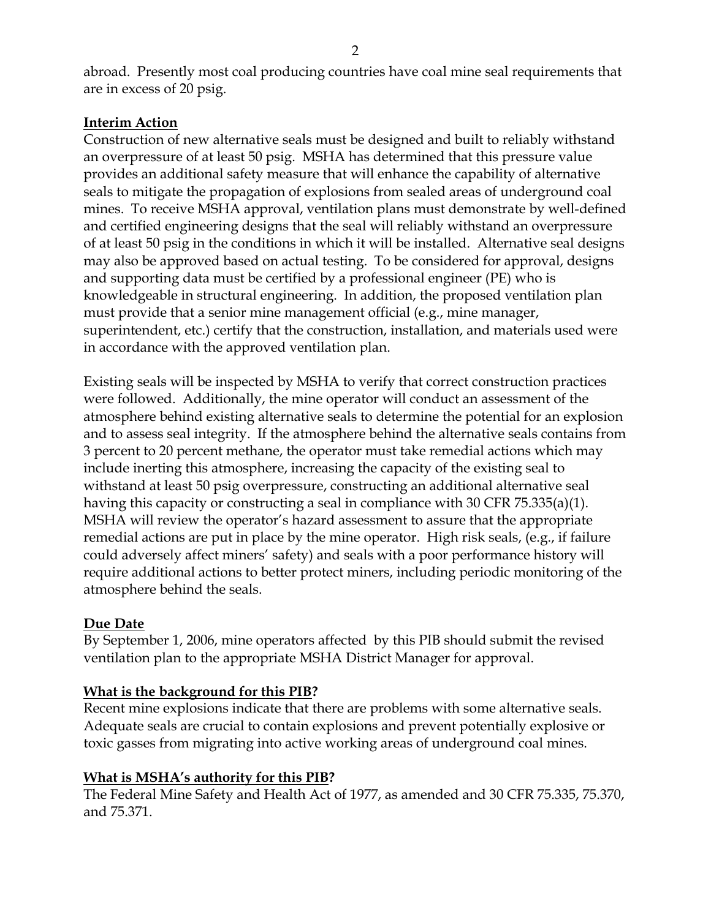abroad. Presently most coal producing countries have coal mine seal requirements that are in excess of 20 psig.

# **Interim Action**

Construction of new alternative seals must be designed and built to reliably withstand an overpressure of at least 50 psig. MSHA has determined that this pressure value provides an additional safety measure that will enhance the capability of alternative seals to mitigate the propagation of explosions from sealed areas of underground coal mines. To receive MSHA approval, ventilation plans must demonstrate by well-defined and certified engineering designs that the seal will reliably withstand an overpressure of at least 50 psig in the conditions in which it will be installed. Alternative seal designs may also be approved based on actual testing. To be considered for approval, designs and supporting data must be certified by a professional engineer (PE) who is knowledgeable in structural engineering. In addition, the proposed ventilation plan must provide that a senior mine management official (e.g., mine manager, superintendent, etc.) certify that the construction, installation, and materials used were in accordance with the approved ventilation plan.

Existing seals will be inspected by MSHA to verify that correct construction practices were followed. Additionally, the mine operator will conduct an assessment of the atmosphere behind existing alternative seals to determine the potential for an explosion and to assess seal integrity. If the atmosphere behind the alternative seals contains from 3 percent to 20 percent methane, the operator must take remedial actions which may include inerting this atmosphere, increasing the capacity of the existing seal to withstand at least 50 psig overpressure, constructing an additional alternative seal having this capacity or constructing a seal in compliance with 30 CFR 75.335(a)(1). MSHA will review the operator's hazard assessment to assure that the appropriate remedial actions are put in place by the mine operator. High risk seals, (e.g., if failure could adversely affect miners' safety) and seals with a poor performance history will require additional actions to better protect miners, including periodic monitoring of the atmosphere behind the seals.

## **Due Date**

By September 1, 2006, mine operators affected by this PIB should submit the revised ventilation plan to the appropriate MSHA District Manager for approval.

# **What is the background for this PIB?**

Recent mine explosions indicate that there are problems with some alternative seals. Adequate seals are crucial to contain explosions and prevent potentially explosive or toxic gasses from migrating into active working areas of underground coal mines.

## **What is MSHA's authority for this PIB?**

The Federal Mine Safety and Health Act of 1977, as amended and 30 CFR 75.335, 75.370, and 75.371.